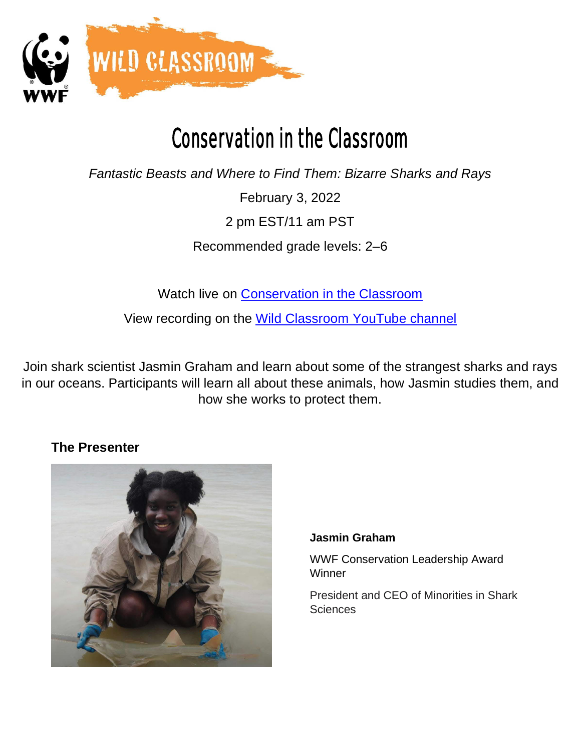

# Conservation in the Classroom

*Fantastic Beasts and Where to Find Them: Bizarre Sharks and Rays*

February 3, 2022

2 pm EST/11 am PST

Recommended grade levels: 2–6

Watch live on [Conservation in the Classroom](https://www.worldwildlife.org/pages/conservation-in-the-classroom)

View recording on the [Wild Classroom YouTube channel](https://www.youtube.com/channel/UCqLN5woFYwtKKoXvASDRT3Q)

Join shark scientist Jasmin Graham and learn about some of the strangest sharks and rays in our oceans. Participants will learn all about these animals, how Jasmin studies them, and how she works to protect them.

# **The Presenter**



### **Jasmin Graham**

WWF Conservation Leadership Award **Winner** 

President and CEO of Minorities in Shark **Sciences**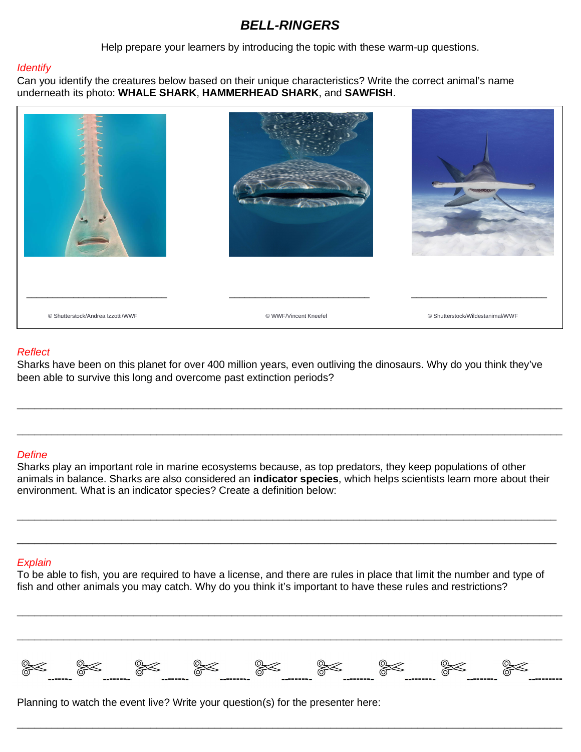## *BELL-RINGERS*

Help prepare your learners by introducing the topic with these warm-up questions.

#### *Identify*

Can you identify the creatures below based on their unique characteristics? Write the correct animal's name underneath its photo: **WHALE SHARK**, **HAMMERHEAD SHARK**, and **SAWFISH**.



#### *Reflect*

Sharks have been on this planet for over 400 million years, even outliving the dinosaurs. Why do you think they've been able to survive this long and overcome past extinction periods?

\_\_\_\_\_\_\_\_\_\_\_\_\_\_\_\_\_\_\_\_\_\_\_\_\_\_\_\_\_\_\_\_\_\_\_\_\_\_\_\_\_\_\_\_\_\_\_\_\_\_\_\_\_\_\_\_\_\_\_\_\_\_\_\_\_\_\_\_\_\_\_\_\_\_\_\_\_\_\_\_\_\_\_\_\_\_\_\_\_\_\_\_\_\_

\_\_\_\_\_\_\_\_\_\_\_\_\_\_\_\_\_\_\_\_\_\_\_\_\_\_\_\_\_\_\_\_\_\_\_\_\_\_\_\_\_\_\_\_\_\_\_\_\_\_\_\_\_\_\_\_\_\_\_\_\_\_\_\_\_\_\_\_\_\_\_\_\_\_\_\_\_\_\_\_\_\_\_\_\_\_\_\_\_\_\_\_\_\_

#### *Define*

Sharks play an important role in marine ecosystems because, as top predators, they keep populations of other animals in balance. Sharks are also considered an **indicator species**, which helps scientists learn more about their environment. What is an indicator species? Create a definition below:

\_\_\_\_\_\_\_\_\_\_\_\_\_\_\_\_\_\_\_\_\_\_\_\_\_\_\_\_\_\_\_\_\_\_\_\_\_\_\_\_\_\_\_\_\_\_\_\_\_\_\_\_\_\_\_\_\_\_\_\_\_\_\_\_\_\_\_\_\_\_\_\_\_\_\_\_\_\_\_\_\_\_\_\_\_\_\_\_\_\_\_\_\_

\_\_\_\_\_\_\_\_\_\_\_\_\_\_\_\_\_\_\_\_\_\_\_\_\_\_\_\_\_\_\_\_\_\_\_\_\_\_\_\_\_\_\_\_\_\_\_\_\_\_\_\_\_\_\_\_\_\_\_\_\_\_\_\_\_\_\_\_\_\_\_\_\_\_\_\_\_\_\_\_\_\_\_\_\_\_\_\_\_\_\_\_\_

#### *Explain*

To be able to fish, you are required to have a license, and there are rules in place that limit the number and type of fish and other animals you may catch. Why do you think it's important to have these rules and restrictions?



\_\_\_\_\_\_\_\_\_\_\_\_\_\_\_\_\_\_\_\_\_\_\_\_\_\_\_\_\_\_\_\_\_\_\_\_\_\_\_\_\_\_\_\_\_\_\_\_\_\_\_\_\_\_\_\_\_\_\_\_\_\_\_\_\_\_\_\_\_\_\_\_\_\_\_\_\_\_\_\_\_\_\_\_\_\_\_\_\_\_\_\_\_\_

\_\_\_\_\_\_\_\_\_\_\_\_\_\_\_\_\_\_\_\_\_\_\_\_\_\_\_\_\_\_\_\_\_\_\_\_\_\_\_\_\_\_\_\_\_\_\_\_\_\_\_\_\_\_\_\_\_\_\_\_\_\_\_\_\_\_\_\_\_\_\_\_\_\_\_\_\_\_\_\_\_\_\_\_\_\_\_\_\_\_\_\_\_\_

\_\_\_\_\_\_\_\_\_\_\_\_\_\_\_\_\_\_\_\_\_\_\_\_\_\_\_\_\_\_\_\_\_\_\_\_\_\_\_\_\_\_\_\_\_\_\_\_\_\_\_\_\_\_\_\_\_\_\_\_\_\_\_\_\_\_\_\_\_\_\_\_\_\_\_\_\_\_\_\_\_\_\_\_\_\_\_\_\_\_\_\_\_\_

Planning to watch the event live? Write your question(s) for the presenter here: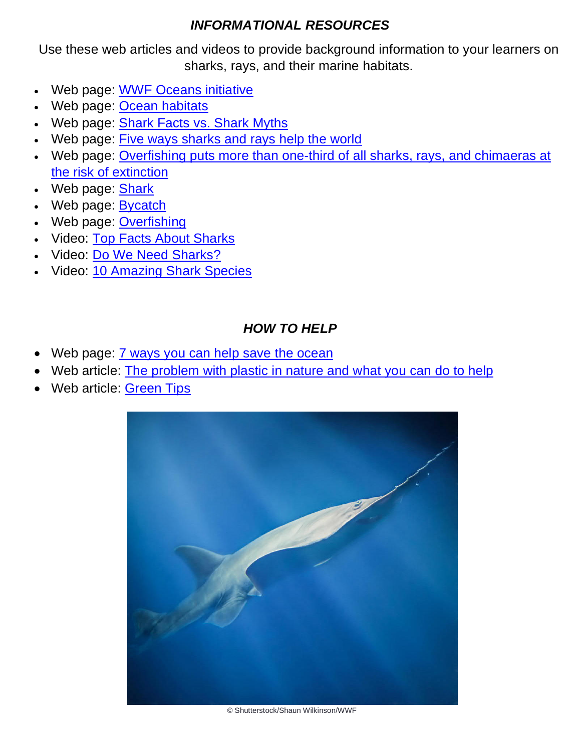# *INFORMATIONAL RESOURCES*

Use these web articles and videos to provide background information to your learners on sharks, rays, and their marine habitats.

- · Web page: [WWF Oceans initiative](https://www.worldwildlife.org/initiatives/oceans)
- Web page: [Ocean habitats](https://www.worldwildlife.org/habitats/ocean-habitat)
- Web page: [Shark Facts vs. Shark Myths](https://www.worldwildlife.org/stories/shark-facts-vs-shark-myths)
- Web page: [Five ways sharks and rays help the world](https://www.worldwildlife.org/stories/five-ways-sharks-and-rays-help-the-world)
- · Web page: [Overfishing puts more than one-third of all sharks, rays, and chimaeras at](https://www.worldwildlife.org/stories/overfishing-puts-more-than-one-third-of-all-sharks-rays-and-chimaeras-at-risk-of-extinction) [the risk of extinction](https://www.worldwildlife.org/stories/overfishing-puts-more-than-one-third-of-all-sharks-rays-and-chimaeras-at-risk-of-extinction)
- · Web page: [Shark](https://www.worldwildlife.org/species/shark)
- · Web page: [Bycatch](https://www.worldwildlife.org/threats/bycatch)
- · Web page: [Overfishing](https://www.worldwildlife.org/threats/overfishing)
- Video: [Top Facts About Sharks](https://youtu.be/XPzgaa8_Uuc)
- Video: [Do We Need Sharks?](https://youtu.be/nic4JKD88Kg)
- Video: [10 Amazing Shark Species](https://youtu.be/c1lIwtDXYjw)

# *HOW TO HELP*

- Web page: **[7 ways you can help save the ocean](https://www.worldwildlife.org/stories/7-ways-you-can-help-save-the-ocean)**
- Web article: [The problem with plastic in nature and what you can do to help](https://www.worldwildlife.org/stories/the-problem-with-plastic-in-nature-and-what-you-can-do-to-help)
- Web article: [Green Tips](https://www.worldwildlife.org/pages/green-tips)



© Shutterstock/Shaun Wilkinson/WWF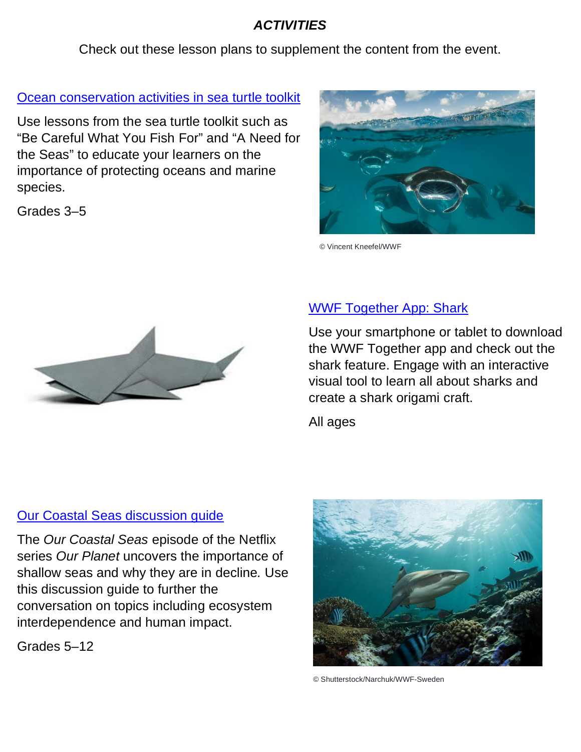# *ACTIVITIES*

Check out these lesson plans to supplement the content from the event.

## [Ocean conservation activities in sea turtle toolkit](https://www.worldwildlife.org/teaching-resources/toolkits/teaching-tools-about-sea-turtles-and-oceans)

Use lessons from the sea turtle toolkit such as "Be Careful What You Fish For" and "A Need for the Seas" to educate your learners on the importance of protecting oceans and marine species.

Grades 3–5



© Vincent Kneefel/WWF



# [WWF Together App: Shark](https://www.worldwildlife.org/pages/the-world-s-most-amazing-animals-are-now-on-your-iphone)

Use your smartphone or tablet to download the WWF Together app and check out the shark feature. Engage with an interactive visual tool to learn all about sharks and create a shark origami craft.

All ages

# [Our Coastal Seas discussion guide](https://www.worldwildlife.org/teaching-resources/toolkits/our-planet-educator-guides)

The *Our Coastal Seas* episode of the Netflix series *Our Planet* uncovers the importance of shallow seas and why they are in decline*.* Use this discussion guide to further the conversation on topics including ecosystem interdependence and human impact.

Grades 5–12



© Shutterstock/Narchuk/WWF-Sweden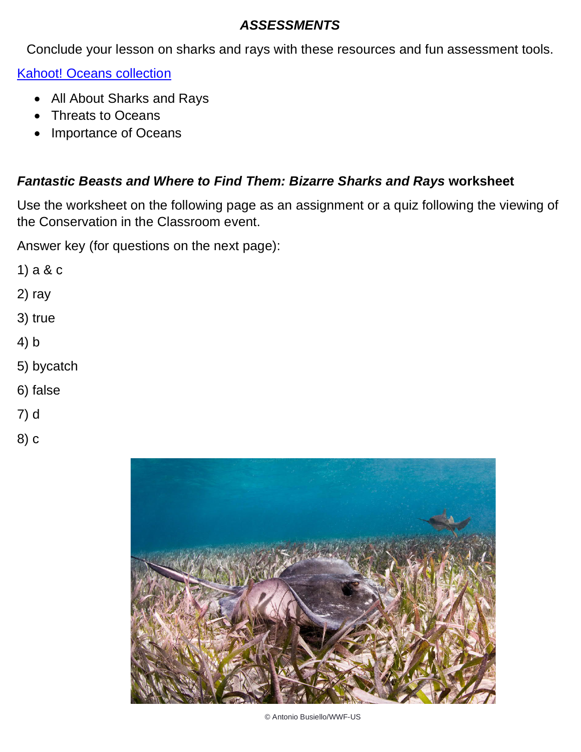## *ASSESSMENTS*

Conclude your lesson on sharks and rays with these resources and fun assessment tools.

[Kahoot! Oceans collection](https://create.kahoot.it/course/deacb706-0434-4517-9b83-fa00b5593ac8)

- · All About Sharks and Rays
- · Threats to Oceans
- · Importance of Oceans

# *Fantastic Beasts and Where to Find Them: Bizarre Sharks and Rays* **worksheet**

Use the worksheet on the following page as an assignment or a quiz following the viewing of the Conservation in the Classroom event.

Answer key (for questions on the next page):

- 1) a & c
- 2) ray
- 3) true
- 4) b
- 5) bycatch
- 6) false
- 7) d
- 8) c



© Antonio Busiello/WWF-US